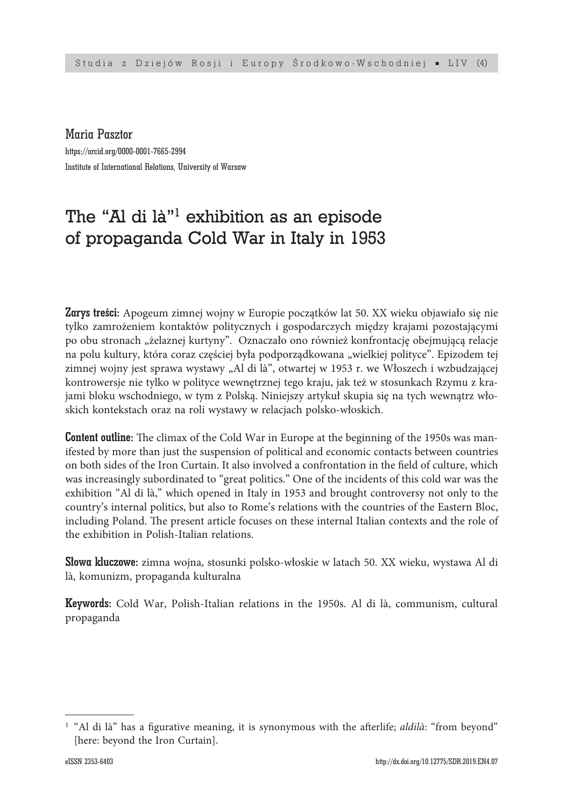Maria Pasztor

https://orcid.org/0000-0001-7665-2994 Institute of International Relations, University of Warsaw

# The "Al di là"1 exhibition as an episode of propaganda Cold War in Italy in 1953

Zarys treści: Apogeum zimnej wojny w Europie początków lat 50. XX wieku objawiało się nie tylko zamrożeniem kontaktów politycznych i gospodarczych między krajami pozostającymi po obu stronach "żelaznej kurtyny". Oznaczało ono również konfrontację obejmującą relacje na polu kultury, która coraz częściej była podporządkowana "wielkiej polityce". Epizodem tej zimnej wojny jest sprawa wystawy "Al di là", otwartej w 1953 r. we Włoszech i wzbudzającej kontrowersje nie tylko w polityce wewnętrznej tego kraju, jak też w stosunkach Rzymu z krajami bloku wschodniego, w tym z Polską. Niniejszy artykuł skupia się na tych wewnątrz włoskich kontekstach oraz na roli wystawy w relacjach polsko-włoskich.

**Content outline:** The climax of the Cold War in Europe at the beginning of the 1950s was manifested by more than just the suspension of political and economic contacts between countries on both sides of the Iron Curtain. It also involved a confrontation in the field of culture, which was increasingly subordinated to "great politics." One of the incidents of this cold war was the exhibition "Al di là," which opened in Italy in 1953 and brought controversy not only to the country's internal politics, but also to Rome's relations with the countries of the Eastern Bloc, including Poland. The present article focuses on these internal Italian contexts and the role of the exhibition in Polish-Italian relations.

Słowa kluczowe: zimna wojna, stosunki polsko-włoskie w latach 50. XX wieku, wystawa Al di là, komunizm, propaganda kulturalna

Keywords: Cold War, Polish-Italian relations in the 1950s. Al di là, communism, cultural propaganda

<sup>&</sup>lt;sup>1</sup> "Al di là" has a figurative meaning, it is synonymous with the afterlife; *aldilà*: "from beyond" [here: beyond the Iron Curtain].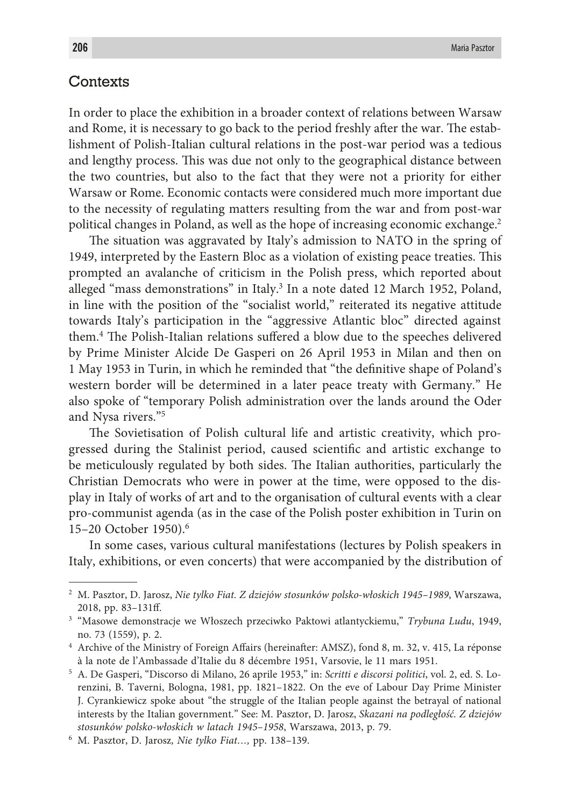## **Contexts**

In order to place the exhibition in a broader context of relations between Warsaw and Rome, it is necessary to go back to the period freshly after the war. The establishment of Polish-Italian cultural relations in the post-war period was a tedious and lengthy process. This was due not only to the geographical distance between the two countries, but also to the fact that they were not a priority for either Warsaw or Rome. Economic contacts were considered much more important due to the necessity of regulating matters resulting from the war and from post-war political changes in Poland, as well as the hope of increasing economic exchange.<sup>2</sup>

The situation was aggravated by Italy's admission to NATO in the spring of 1949, interpreted by the Eastern Bloc as a violation of existing peace treaties. This prompted an avalanche of criticism in the Polish press, which reported about alleged "mass demonstrations" in Italy.<sup>3</sup> In a note dated 12 March 1952, Poland, in line with the position of the "socialist world," reiterated its negative attitude towards Italy's participation in the "aggressive Atlantic bloc" directed against them.4 The Polish-Italian relations suffered a blow due to the speeches delivered by Prime Minister Alcide De Gasperi on 26 April 1953 in Milan and then on 1 May 1953 in Turin, in which he reminded that "the definitive shape of Poland's western border will be determined in a later peace treaty with Germany." He also spoke of "temporary Polish administration over the lands around the Oder and Nysa rivers."5

The Sovietisation of Polish cultural life and artistic creativity, which progressed during the Stalinist period, caused scientific and artistic exchange to be meticulously regulated by both sides. The Italian authorities, particularly the Christian Democrats who were in power at the time, were opposed to the display in Italy of works of art and to the organisation of cultural events with a clear pro-communist agenda (as in the case of the Polish poster exhibition in Turin on 15–20 October 1950).6

In some cases, various cultural manifestations (lectures by Polish speakers in Italy, exhibitions, or even concerts) that were accompanied by the distribution of

<sup>2</sup> M. Pasztor, D. Jarosz, *Nie tylko Fiat. Z dziejów stosunków polsko-włoskich 1945–1989*, Warszawa, 2018, pp. 83–131ff.

<sup>3</sup> "Masowe demonstracje we Włoszech przeciwko Paktowi atlantyckiemu," *Trybuna Ludu*, 1949, no. 73 (1559), p. 2.

<sup>4</sup> Archive of the Ministry of Foreign Affairs (hereinafter: AMSZ), fond 8, m. 32, v. 415, La réponse à la note de l'Ambassade d'Italie du 8 décembre 1951, Varsovie, le 11 mars 1951.

<sup>5</sup> A. De Gasperi, "Discorso di Milano, 26 aprile 1953," in: *Scritti e discorsi politici*, vol. 2, ed. S. Lorenzini, B. Taverni, Bologna, 1981, pp. 1821–1822. On the eve of Labour Day Prime Minister J. Cyrankiewicz spoke about "the struggle of the Italian people against the betrayal of national interests by the Italian government." See: M. Pasztor, D. Jarosz, *Skazani na podległość. Z dziejów stosunków polsko-włoskich w latach 1945–1958*, Warszawa, 2013, p. 79.

<sup>6</sup> M. Pasztor, D. Jarosz*, Nie tylko Fiat…,* pp. 138–139.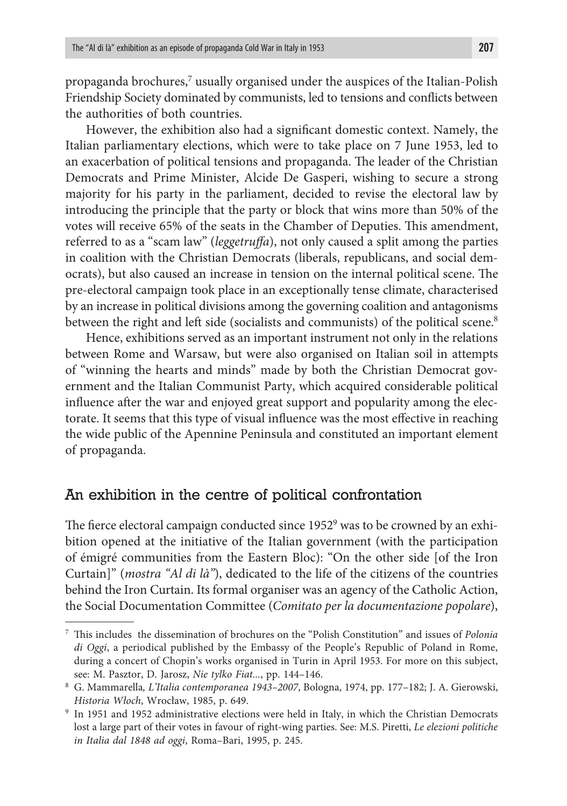propaganda brochures, $^7$  usually organised under the auspices of the Italian-Polish Friendship Society dominated by communists, led to tensions and conflicts between the authorities of both countries.

However, the exhibition also had a significant domestic context. Namely, the Italian parliamentary elections, which were to take place on 7 June 1953, led to an exacerbation of political tensions and propaganda. The leader of the Christian Democrats and Prime Minister, Alcide De Gasperi, wishing to secure a strong majority for his party in the parliament, decided to revise the electoral law by introducing the principle that the party or block that wins more than 50% of the votes will receive 65% of the seats in the Chamber of Deputies. This amendment, referred to as a "scam law" (*leggetruffa*), not only caused a split among the parties in coalition with the Christian Democrats (liberals, republicans, and social democrats), but also caused an increase in tension on the internal political scene. The pre-electoral campaign took place in an exceptionally tense climate, characterised by an increase in political divisions among the governing coalition and antagonisms between the right and left side (socialists and communists) of the political scene.<sup>8</sup>

Hence, exhibitions served as an important instrument not only in the relations between Rome and Warsaw, but were also organised on Italian soil in attempts of "winning the hearts and minds" made by both the Christian Democrat government and the Italian Communist Party, which acquired considerable political influence after the war and enjoyed great support and popularity among the electorate. It seems that this type of visual influence was the most effective in reaching the wide public of the Apennine Peninsula and constituted an important element of propaganda.

## An exhibition in the centre of political confrontation

The fierce electoral campaign conducted since 1952<sup>9</sup> was to be crowned by an exhibition opened at the initiative of the Italian government (with the participation of émigré communities from the Eastern Bloc): "On the other side [of the Iron Curtain]" (*mostra "Al di là"*), dedicated to the life of the citizens of the countries behind the Iron Curtain. Its formal organiser was an agency of the Catholic Action, the Social Documentation Committee (*Comitato per la documentazione popolare*),

<sup>7</sup> This includes the dissemination of brochures on the "Polish Constitution" and issues of *Polonia di Oggi*, a periodical published by the Embassy of the People's Republic of Poland in Rome, during a concert of Chopin's works organised in Turin in April 1953. For more on this subject, see: M. Pasztor, D. Jarosz, *Nie tylko Fiat...*, pp. 144–146.

<sup>8</sup> G. Mammarella*, L'Italia contemporanea 1943–2007*, Bologna, 1974, pp. 177–182; J. A. Gierowski, *Historia Włoch*, Wrocław, 1985, p. 649.

<sup>&</sup>lt;sup>9</sup> In 1951 and 1952 administrative elections were held in Italy, in which the Christian Democrats lost a large part of their votes in favour of right-wing parties. See: M.S. Piretti, *Le elezioni politiche in Italia dal 1848 ad oggi*, Roma–Bari, 1995, p. 245.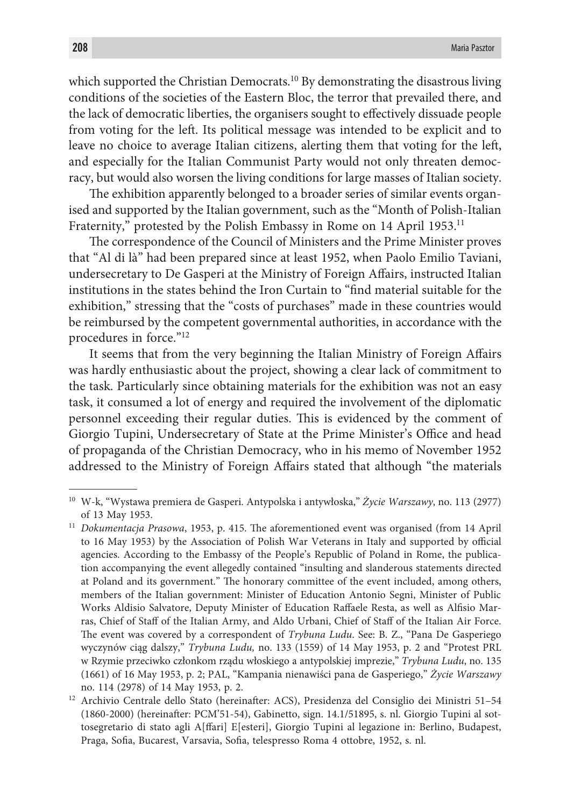which supported the Christian Democrats.<sup>10</sup> By demonstrating the disastrous living conditions of the societies of the Eastern Bloc, the terror that prevailed there, and the lack of democratic liberties, the organisers sought to effectively dissuade people from voting for the left. Its political message was intended to be explicit and to leave no choice to average Italian citizens, alerting them that voting for the left, and especially for the Italian Communist Party would not only threaten democracy, but would also worsen the living conditions for large masses of Italian society.

The exhibition apparently belonged to a broader series of similar events organised and supported by the Italian government, such as the "Month of Polish-Italian Fraternity," protested by the Polish Embassy in Rome on 14 April 1953.<sup>11</sup>

The correspondence of the Council of Ministers and the Prime Minister proves that "Al di là" had been prepared since at least 1952, when Paolo Emilio Taviani, undersecretary to De Gasperi at the Ministry of Foreign Affairs, instructed Italian institutions in the states behind the Iron Curtain to "find material suitable for the exhibition," stressing that the "costs of purchases" made in these countries would be reimbursed by the competent governmental authorities, in accordance with the procedures in force."12

It seems that from the very beginning the Italian Ministry of Foreign Affairs was hardly enthusiastic about the project, showing a clear lack of commitment to the task. Particularly since obtaining materials for the exhibition was not an easy task, it consumed a lot of energy and required the involvement of the diplomatic personnel exceeding their regular duties. This is evidenced by the comment of Giorgio Tupini, Undersecretary of State at the Prime Minister's Office and head of propaganda of the Christian Democracy, who in his memo of November 1952 addressed to the Ministry of Foreign Affairs stated that although "the materials

<sup>10</sup> W-k, "Wystawa premiera de Gasperi. Antypolska i antywłoska," *Życie Warszawy*, no. 113 (2977) of 13 May 1953.

<sup>11</sup> *Dokumentacja Prasowa*, 1953, p. 415. The aforementioned event was organised (from 14 April to 16 May 1953) by the Association of Polish War Veterans in Italy and supported by official agencies. According to the Embassy of the People's Republic of Poland in Rome, the publication accompanying the event allegedly contained "insulting and slanderous statements directed at Poland and its government." The honorary committee of the event included, among others, members of the Italian government: Minister of Education Antonio Segni, Minister of Public Works Aldisio Salvatore, Deputy Minister of Education Raffaele Resta, as well as Alfisio Marras, Chief of Staff of the Italian Army, and Aldo Urbani, Chief of Staff of the Italian Air Force. The event was covered by a correspondent of *Trybuna Ludu*. See: B. Z., "Pana De Gasperiego wyczynów ciąg dalszy," *Trybuna Ludu,* no. 133 (1559) of 14 May 1953, p. 2 and "Protest PRL w Rzymie przeciwko członkom rządu włoskiego a antypolskiej imprezie," *Trybuna Ludu*, no. 135 (1661) of 16 May 1953, p. 2; PAL, "Kampania nienawiści pana de Gasperiego," *Życie Warszawy* no. 114 (2978) of 14 May 1953, p. 2.

<sup>12</sup> Archivio Centrale dello Stato (hereinafter: ACS), Presidenza del Consiglio dei Ministri 51–54 (1860-2000) (hereinafter: PCM'51-54), Gabinetto, sign. 14.1/51895, s. nl. Giorgio Tupini al sottosegretario di stato agli A[ffari] E[esteri], Giorgio Tupini al legazione in: Berlino, Budapest, Praga, Sofia, Bucarest, Varsavia, Sofia, telespresso Roma 4 ottobre, 1952, s. nl.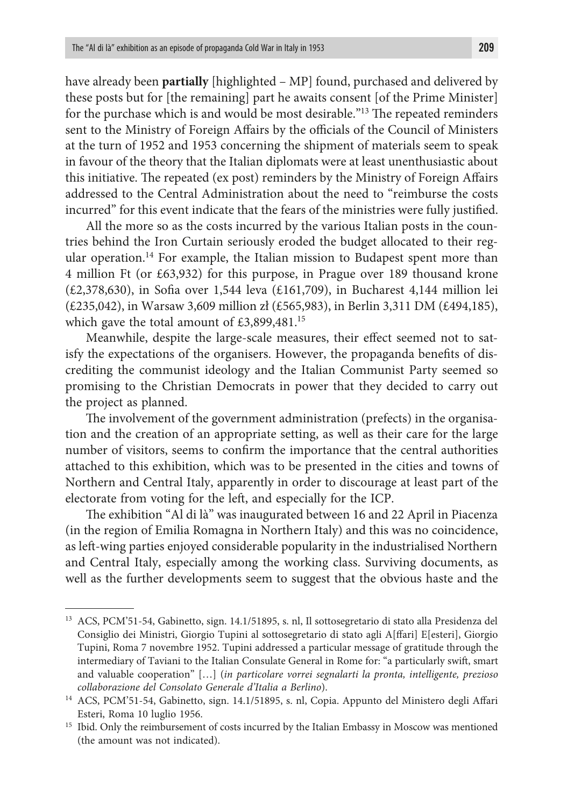have already been **partially** [highlighted – MP] found, purchased and delivered by these posts but for [the remaining] part he awaits consent [of the Prime Minister] for the purchase which is and would be most desirable."13 The repeated reminders sent to the Ministry of Foreign Affairs by the officials of the Council of Ministers at the turn of 1952 and 1953 concerning the shipment of materials seem to speak in favour of the theory that the Italian diplomats were at least unenthusiastic about this initiative. The repeated (ex post) reminders by the Ministry of Foreign Affairs addressed to the Central Administration about the need to "reimburse the costs incurred" for this event indicate that the fears of the ministries were fully justified.

All the more so as the costs incurred by the various Italian posts in the countries behind the Iron Curtain seriously eroded the budget allocated to their regular operation.<sup>14</sup> For example, the Italian mission to Budapest spent more than 4 million Ft (or £63,932) for this purpose, in Prague over 189 thousand krone (£2,378,630), in Sofia over 1,544 leva (£161,709), in Bucharest 4,144 million lei (£235,042), in Warsaw 3,609 million zł (£565,983), in Berlin 3,311 DM (£494,185), which gave the total amount of £3,899,481.<sup>15</sup>

Meanwhile, despite the large-scale measures, their effect seemed not to satisfy the expectations of the organisers. However, the propaganda benefits of discrediting the communist ideology and the Italian Communist Party seemed so promising to the Christian Democrats in power that they decided to carry out the project as planned.

The involvement of the government administration (prefects) in the organisation and the creation of an appropriate setting, as well as their care for the large number of visitors, seems to confirm the importance that the central authorities attached to this exhibition, which was to be presented in the cities and towns of Northern and Central Italy, apparently in order to discourage at least part of the electorate from voting for the left, and especially for the ICP.

The exhibition "Al di là" was inaugurated between 16 and 22 April in Piacenza (in the region of Emilia Romagna in Northern Italy) and this was no coincidence, as left-wing parties enjoyed considerable popularity in the industrialised Northern and Central Italy, especially among the working class. Surviving documents, as well as the further developments seem to suggest that the obvious haste and the

<sup>&</sup>lt;sup>13</sup> ACS, PCM'51-54, Gabinetto, sign. 14.1/51895, s. nl, Il sottosegretario di stato alla Presidenza del Consiglio dei Ministri, Giorgio Tupini al sottosegretario di stato agli A[ffari] E[esteri], Giorgio Tupini, Roma 7 novembre 1952. Tupini addressed a particular message of gratitude through the intermediary of Taviani to the Italian Consulate General in Rome for: "a particularly swift, smart and valuable cooperation" […] (*in particolare vorrei segnalarti la pronta, intelligente, prezioso collaborazione del Consolato Generale d'Italia a Berlino*).

<sup>14</sup> ACS, PCM'51-54, Gabinetto, sign. 14.1/51895, s. nl, Copia. Appunto del Ministero degli Affari Esteri, Roma 10 luglio 1956.

<sup>&</sup>lt;sup>15</sup> Ibid. Only the reimbursement of costs incurred by the Italian Embassy in Moscow was mentioned (the amount was not indicated).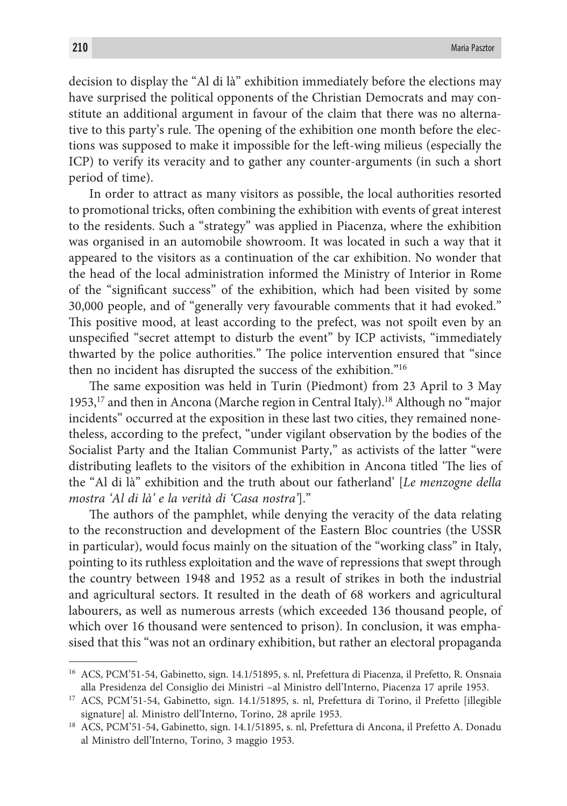decision to display the "Al di là" exhibition immediately before the elections may have surprised the political opponents of the Christian Democrats and may constitute an additional argument in favour of the claim that there was no alternative to this party's rule. The opening of the exhibition one month before the elections was supposed to make it impossible for the left-wing milieus (especially the ICP) to verify its veracity and to gather any counter-arguments (in such a short period of time).

In order to attract as many visitors as possible, the local authorities resorted to promotional tricks, often combining the exhibition with events of great interest to the residents. Such a "strategy" was applied in Piacenza, where the exhibition was organised in an automobile showroom. It was located in such a way that it appeared to the visitors as a continuation of the car exhibition. No wonder that the head of the local administration informed the Ministry of Interior in Rome of the "significant success" of the exhibition, which had been visited by some 30,000 people, and of "generally very favourable comments that it had evoked." This positive mood, at least according to the prefect, was not spoilt even by an unspecified "secret attempt to disturb the event" by ICP activists, "immediately thwarted by the police authorities." The police intervention ensured that "since then no incident has disrupted the success of the exhibition."16

The same exposition was held in Turin (Piedmont) from 23 April to 3 May 1953,17 and then in Ancona (Marche region in Central Italy).18 Although no "major incidents" occurred at the exposition in these last two cities, they remained nonetheless, according to the prefect, "under vigilant observation by the bodies of the Socialist Party and the Italian Communist Party," as activists of the latter "were distributing leaflets to the visitors of the exhibition in Ancona titled 'The lies of the "Al di là" exhibition and the truth about our fatherland' [*Le menzogne della mostra 'Al di là' e la verità di 'Casa nostra'*]."

The authors of the pamphlet, while denying the veracity of the data relating to the reconstruction and development of the Eastern Bloc countries (the USSR in particular), would focus mainly on the situation of the "working class" in Italy, pointing to its ruthless exploitation and the wave of repressions that swept through the country between 1948 and 1952 as a result of strikes in both the industrial and agricultural sectors. It resulted in the death of 68 workers and agricultural labourers, as well as numerous arrests (which exceeded 136 thousand people, of which over 16 thousand were sentenced to prison). In conclusion, it was emphasised that this "was not an ordinary exhibition, but rather an electoral propaganda

<sup>16</sup> ACS, PCM'51-54, Gabinetto, sign. 14.1/51895, s. nl, Prefettura di Piacenza, il Prefetto, R. Onsnaia alla Presidenza del Consiglio dei Ministri –al Ministro dell'Interno, Piacenza 17 aprile 1953.

<sup>17</sup> ACS, PCM'51-54, Gabinetto, sign. 14.1/51895, s. nl, Prefettura di Torino, il Prefetto [illegible signature] al. Ministro dell'Interno, Torino, 28 aprile 1953.

<sup>18</sup> ACS, PCM'51-54, Gabinetto, sign. 14.1/51895, s. nl, Prefettura di Ancona, il Prefetto A. Donadu al Ministro dell'Interno, Torino, 3 maggio 1953.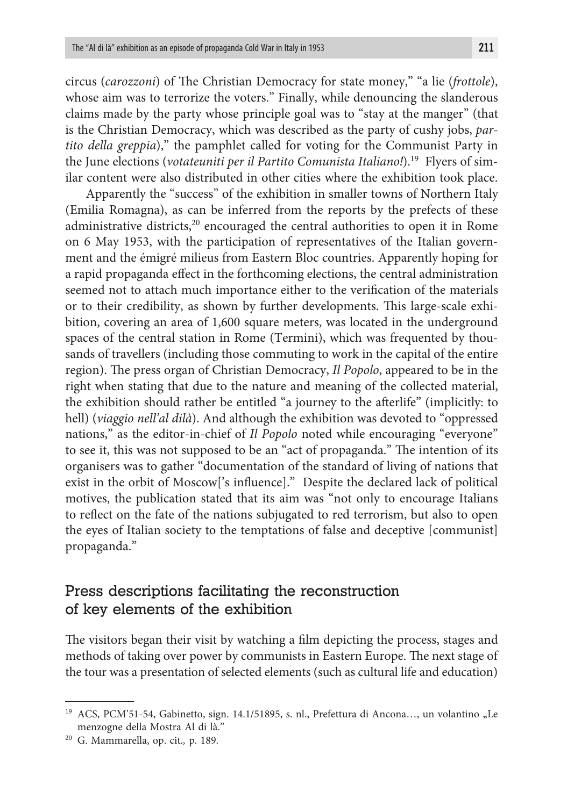circus (*carozzoni*) of The Christian Democracy for state money," "a lie (*frottole*), whose aim was to terrorize the voters." Finally, while denouncing the slanderous claims made by the party whose principle goal was to "stay at the manger" (that is the Christian Democracy, which was described as the party of cushy jobs, *partito della greppia*)," the pamphlet called for voting for the Communist Party in the June elections (*votateuniti per il Partito Comunista Italiano!*).19 Flyers of similar content were also distributed in other cities where the exhibition took place.

Apparently the "success" of the exhibition in smaller towns of Northern Italy (Emilia Romagna), as can be inferred from the reports by the prefects of these administrative districts,<sup>20</sup> encouraged the central authorities to open it in Rome on 6 May 1953, with the participation of representatives of the Italian government and the émigré milieus from Eastern Bloc countries. Apparently hoping for a rapid propaganda effect in the forthcoming elections, the central administration seemed not to attach much importance either to the verification of the materials or to their credibility, as shown by further developments. This large-scale exhibition, covering an area of 1,600 square meters, was located in the underground spaces of the central station in Rome (Termini), which was frequented by thousands of travellers (including those commuting to work in the capital of the entire region). The press organ of Christian Democracy, *Il Popolo*, appeared to be in the right when stating that due to the nature and meaning of the collected material, the exhibition should rather be entitled "a journey to the afterlife" (implicitly: to hell) (*viaggio nell'al dilà*). And although the exhibition was devoted to "oppressed nations," as the editor-in-chief of *Il Popolo* noted while encouraging "everyone" to see it, this was not supposed to be an "act of propaganda." The intention of its organisers was to gather "documentation of the standard of living of nations that exist in the orbit of Moscow['s influence]." Despite the declared lack of political motives, the publication stated that its aim was "not only to encourage Italians to reflect on the fate of the nations subjugated to red terrorism, but also to open the eyes of Italian society to the temptations of false and deceptive [communist] propaganda."

# Press descriptions facilitating the reconstruction of key elements of the exhibition

The visitors began their visit by watching a film depicting the process, stages and methods of taking over power by communists in Eastern Europe. The next stage of the tour was a presentation of selected elements (such as cultural life and education)

<sup>&</sup>lt;sup>19</sup> ACS, PCM'51-54, Gabinetto, sign. 14.1/51895, s. nl., Prefettura di Ancona..., un volantino "Le menzogne della Mostra Al di là."

<sup>20</sup> G. Mammarella, op. cit.*,* p. 189.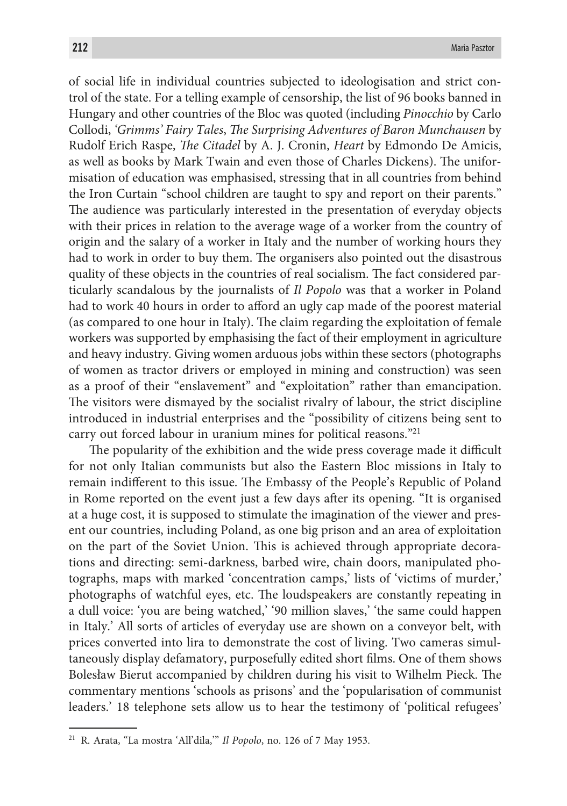of social life in individual countries subjected to ideologisation and strict control of the state. For a telling example of censorship, the list of 96 books banned in Hungary and other countries of the Bloc was quoted (including *Pinocchio* by Carlo Collodi, *'Grimms' Fairy Tales*, *The Surprising Adventures of Baron Munchausen* by Rudolf Erich Raspe, *The Citadel* by A. J. Cronin, *Heart* by Edmondo De Amicis, as well as books by Mark Twain and even those of Charles Dickens). The uniformisation of education was emphasised, stressing that in all countries from behind the Iron Curtain "school children are taught to spy and report on their parents." The audience was particularly interested in the presentation of everyday objects with their prices in relation to the average wage of a worker from the country of origin and the salary of a worker in Italy and the number of working hours they had to work in order to buy them. The organisers also pointed out the disastrous quality of these objects in the countries of real socialism. The fact considered particularly scandalous by the journalists of *Il Popolo* was that a worker in Poland had to work 40 hours in order to afford an ugly cap made of the poorest material (as compared to one hour in Italy). The claim regarding the exploitation of female workers was supported by emphasising the fact of their employment in agriculture and heavy industry. Giving women arduous jobs within these sectors (photographs of women as tractor drivers or employed in mining and construction) was seen as a proof of their "enslavement" and "exploitation" rather than emancipation. The visitors were dismayed by the socialist rivalry of labour, the strict discipline introduced in industrial enterprises and the "possibility of citizens being sent to carry out forced labour in uranium mines for political reasons."21

The popularity of the exhibition and the wide press coverage made it difficult for not only Italian communists but also the Eastern Bloc missions in Italy to remain indifferent to this issue. The Embassy of the People's Republic of Poland in Rome reported on the event just a few days after its opening. "It is organised at a huge cost, it is supposed to stimulate the imagination of the viewer and present our countries, including Poland, as one big prison and an area of exploitation on the part of the Soviet Union. This is achieved through appropriate decorations and directing: semi-darkness, barbed wire, chain doors, manipulated photographs, maps with marked 'concentration camps,' lists of 'victims of murder,' photographs of watchful eyes, etc. The loudspeakers are constantly repeating in a dull voice: 'you are being watched,' '90 million slaves,' 'the same could happen in Italy.' All sorts of articles of everyday use are shown on a conveyor belt, with prices converted into lira to demonstrate the cost of living. Two cameras simultaneously display defamatory, purposefully edited short films. One of them shows Bolesław Bierut accompanied by children during his visit to Wilhelm Pieck. The commentary mentions 'schools as prisons' and the 'popularisation of communist leaders.' 18 telephone sets allow us to hear the testimony of 'political refugees'

<sup>21</sup> R. Arata, "La mostra 'All'dila,'" *Il Popolo*, no. 126 of 7 May 1953.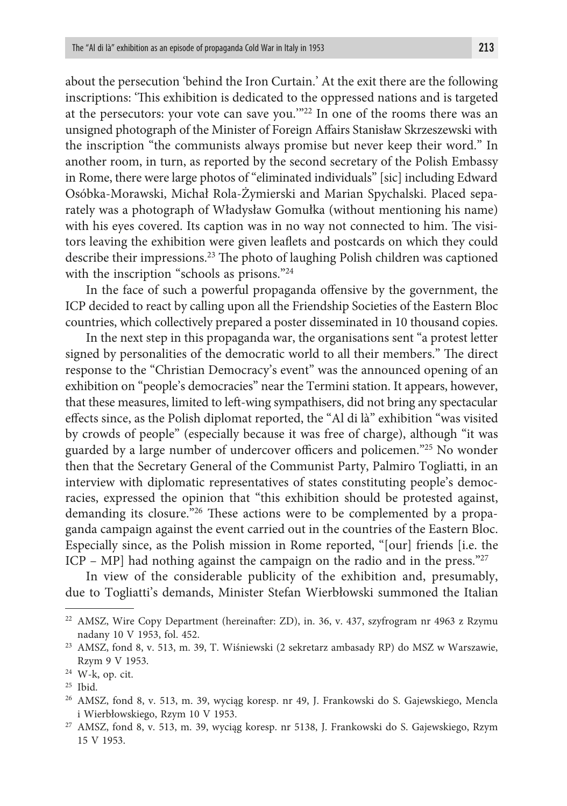about the persecution 'behind the Iron Curtain.' At the exit there are the following inscriptions: 'This exhibition is dedicated to the oppressed nations and is targeted at the persecutors: your vote can save you.'"22 In one of the rooms there was an unsigned photograph of the Minister of Foreign Affairs Stanisław Skrzeszewski with the inscription "the communists always promise but never keep their word." In another room, in turn, as reported by the second secretary of the Polish Embassy in Rome, there were large photos of "eliminated individuals" [sic] including Edward Osóbka-Morawski, Michał Rola-Żymierski and Marian Spychalski. Placed separately was a photograph of Władysław Gomułka (without mentioning his name) with his eyes covered. Its caption was in no way not connected to him. The visitors leaving the exhibition were given leaflets and postcards on which they could describe their impressions.23 The photo of laughing Polish children was captioned with the inscription "schools as prisons."<sup>24</sup>

In the face of such a powerful propaganda offensive by the government, the ICP decided to react by calling upon all the Friendship Societies of the Eastern Bloc countries, which collectively prepared a poster disseminated in 10 thousand copies.

In the next step in this propaganda war, the organisations sent "a protest letter signed by personalities of the democratic world to all their members." The direct response to the "Christian Democracy's event" was the announced opening of an exhibition on "people's democracies" near the Termini station. It appears, however, that these measures, limited to left-wing sympathisers, did not bring any spectacular effects since, as the Polish diplomat reported, the "Al di là" exhibition "was visited by crowds of people" (especially because it was free of charge), although "it was guarded by a large number of undercover officers and policemen."25 No wonder then that the Secretary General of the Communist Party, Palmiro Togliatti, in an interview with diplomatic representatives of states constituting people's democracies, expressed the opinion that "this exhibition should be protested against, demanding its closure."26 These actions were to be complemented by a propaganda campaign against the event carried out in the countries of the Eastern Bloc. Especially since, as the Polish mission in Rome reported, "[our] friends [i.e. the ICP – MP] had nothing against the campaign on the radio and in the press. $27$ 

In view of the considerable publicity of the exhibition and, presumably, due to Togliatti's demands, Minister Stefan Wierbłowski summoned the Italian

<sup>22</sup> AMSZ, Wire Copy Department (hereinafter: ZD), in. 36, v. 437, szyfrogram nr 4963 z Rzymu nadany 10 V 1953, fol. 452.

<sup>23</sup> AMSZ, fond 8, v. 513, m. 39, T. Wiśniewski (2 sekretarz ambasady RP) do MSZ w Warszawie, Rzym 9 V 1953.

<sup>24</sup> W-k, op. cit.

<sup>25</sup> Ibid.

<sup>26</sup> AMSZ, fond 8, v. 513, m. 39, wyciąg koresp. nr 49, J. Frankowski do S. Gajewskiego, Mencla i Wierbłowskiego, Rzym 10 V 1953.

<sup>27</sup> AMSZ, fond 8, v. 513, m. 39, wyciąg koresp. nr 5138, J. Frankowski do S. Gajewskiego, Rzym 15 V 1953.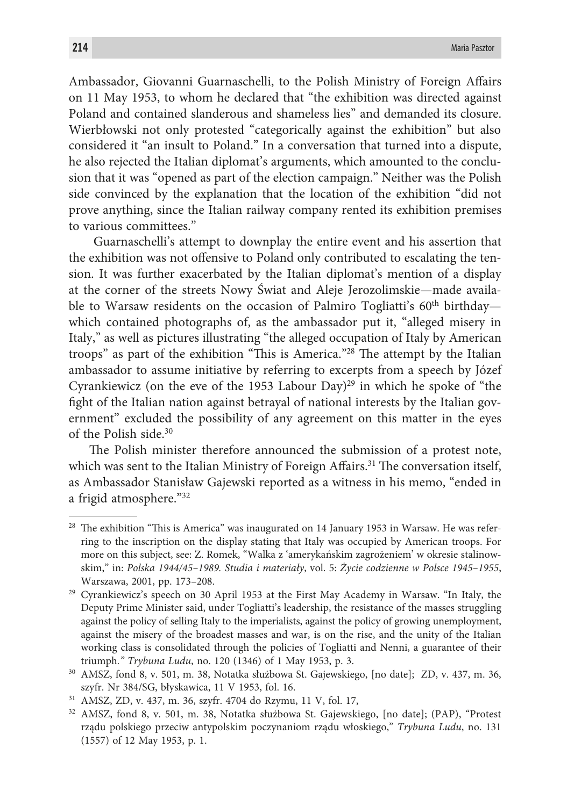Ambassador, Giovanni Guarnaschelli, to the Polish Ministry of Foreign Affairs on 11 May 1953, to whom he declared that "the exhibition was directed against Poland and contained slanderous and shameless lies" and demanded its closure. Wierbłowski not only protested "categorically against the exhibition" but also considered it "an insult to Poland." In a conversation that turned into a dispute, he also rejected the Italian diplomat's arguments, which amounted to the conclusion that it was "opened as part of the election campaign." Neither was the Polish side convinced by the explanation that the location of the exhibition "did not prove anything, since the Italian railway company rented its exhibition premises to various committees."

 Guarnaschelli's attempt to downplay the entire event and his assertion that the exhibition was not offensive to Poland only contributed to escalating the tension. It was further exacerbated by the Italian diplomat's mention of a display at the corner of the streets Nowy Świat and Aleje Jerozolimskie—made available to Warsaw residents on the occasion of Palmiro Togliatti's  $60<sup>th</sup>$  birthday which contained photographs of, as the ambassador put it, "alleged misery in Italy," as well as pictures illustrating "the alleged occupation of Italy by American troops" as part of the exhibition "This is America."28 The attempt by the Italian ambassador to assume initiative by referring to excerpts from a speech by Józef Cyrankiewicz (on the eve of the 1953 Labour Day)<sup>29</sup> in which he spoke of "the fight of the Italian nation against betrayal of national interests by the Italian government" excluded the possibility of any agreement on this matter in the eyes of the Polish side.30

The Polish minister therefore announced the submission of a protest note, which was sent to the Italian Ministry of Foreign Affairs.<sup>31</sup> The conversation itself, as Ambassador Stanisław Gajewski reported as a witness in his memo, "ended in a frigid atmosphere."32

 $28$  The exhibition "This is America" was inaugurated on 14 January 1953 in Warsaw. He was referring to the inscription on the display stating that Italy was occupied by American troops. For more on this subject, see: Z. Romek, "Walka z 'amerykańskim zagrożeniem' w okresie stalinowskim," in: *Polska 1944/45–1989. Studia i materiały*, vol. 5: *Życie codzienne w Polsce 1945–1955*, Warszawa, 2001, pp. 173–208.

<sup>29</sup> Cyrankiewicz's speech on 30 April 1953 at the First May Academy in Warsaw. "In Italy, the Deputy Prime Minister said, under Togliatti's leadership, the resistance of the masses struggling against the policy of selling Italy to the imperialists, against the policy of growing unemployment, against the misery of the broadest masses and war, is on the rise, and the unity of the Italian working class is consolidated through the policies of Togliatti and Nenni, a guarantee of their triumph*." Trybuna Ludu*, no. 120 (1346) of 1 May 1953, p. 3.

<sup>30</sup> AMSZ, fond 8, v. 501, m. 38, Notatka służbowa St. Gajewskiego, [no date]; ZD, v. 437, m. 36, szyfr. Nr 384/SG, błyskawica, 11 V 1953, fol. 16.

<sup>31</sup> AMSZ, ZD, v. 437, m. 36, szyfr. 4704 do Rzymu, 11 V, fol. 17,

<sup>32</sup> AMSZ, fond 8, v. 501, m. 38, Notatka służbowa St. Gajewskiego, [no date]; (PAP), "Protest rządu polskiego przeciw antypolskim poczynaniom rządu włoskiego," *Trybuna Ludu*, no. 131 (1557) of 12 May 1953, p. 1.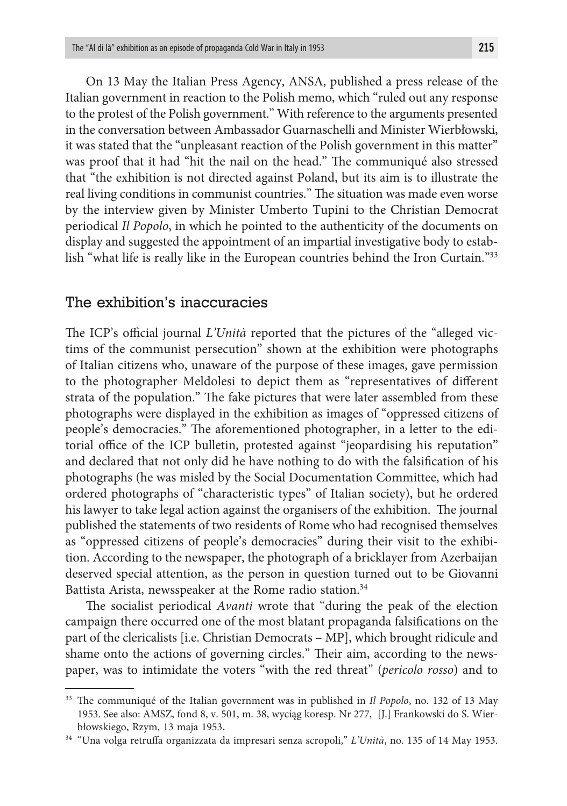On 13 May the Italian Press Agency, ANSA, published a press release of the Italian government in reaction to the Polish memo, which "ruled out any response to the protest of the Polish government." With reference to the arguments presented in the conversation between Ambassador Guarnaschelli and Minister Wierbłowski, it was stated that the "unpleasant reaction of the Polish government in this matter" was proof that it had "hit the nail on the head." The communiqué also stressed that "the exhibition is not directed against Poland, but its aim is to illustrate the real living conditions in communist countries." The situation was made even worse by the interview given by Minister Umberto Tupini to the Christian Democrat periodical *Il Popolo*, in which he pointed to the authenticity of the documents on display and suggested the appointment of an impartial investigative body to establish "what life is really like in the European countries behind the Iron Curtain."33

#### The exhibition's inaccuracies

The ICP's official journal *L'Unità* reported that the pictures of the "alleged victims of the communist persecution" shown at the exhibition were photographs of Italian citizens who, unaware of the purpose of these images, gave permission to the photographer Meldolesi to depict them as "representatives of different strata of the population." The fake pictures that were later assembled from these photographs were displayed in the exhibition as images of "oppressed citizens of people's democracies." The aforementioned photographer, in a letter to the editorial office of the ICP bulletin, protested against "jeopardising his reputation" and declared that not only did he have nothing to do with the falsification of his photographs (he was misled by the Social Documentation Committee, which had ordered photographs of "characteristic types" of Italian society), but he ordered his lawyer to take legal action against the organisers of the exhibition. The journal published the statements of two residents of Rome who had recognised themselves as "oppressed citizens of people's democracies" during their visit to the exhibition. According to the newspaper, the photograph of a bricklayer from Azerbaijan deserved special attention, as the person in question turned out to be Giovanni Battista Arista, newsspeaker at the Rome radio station.<sup>34</sup>

The socialist periodical *Avanti* wrote that "during the peak of the election campaign there occurred one of the most blatant propaganda falsifications on the part of the clericalists [i.e. Christian Democrats – MP], which brought ridicule and shame onto the actions of governing circles." Their aim, according to the newspaper, was to intimidate the voters "with the red threat" (*pericolo rosso*) and to

<sup>33</sup> The communiqué of the Italian government was in published in *Il Popolo*, no. 132 of 13 May 1953. See also: AMSZ, fond 8, v. 501, m. 38, wyciąg koresp. Nr 277, [J.] Frankowski do S. Wierbłowskiego, Rzym, 13 maja 1953**.**

<sup>34 &</sup>quot;Una volga retruffa organizzata da impresari senza scropoli," *L'Unità*, no. 135 of 14 May 1953.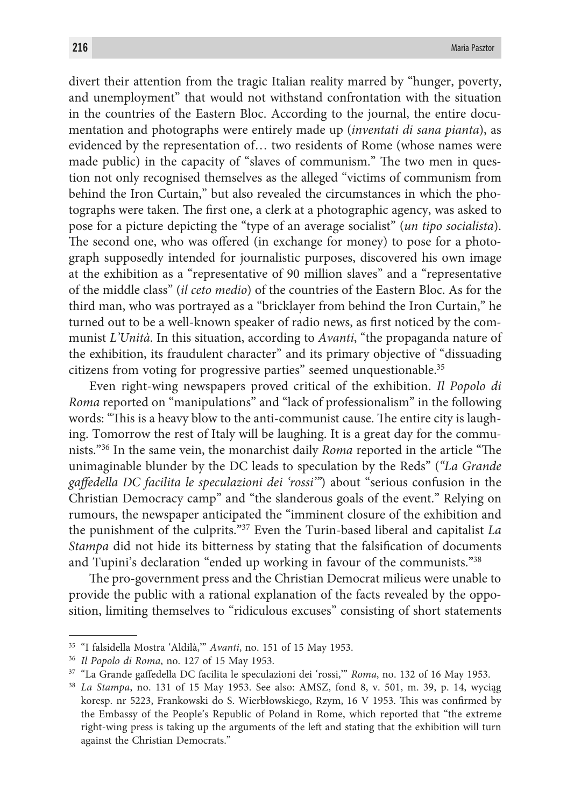divert their attention from the tragic Italian reality marred by "hunger, poverty, and unemployment" that would not withstand confrontation with the situation in the countries of the Eastern Bloc. According to the journal, the entire documentation and photographs were entirely made up (*inventati di sana pianta*), as evidenced by the representation of… two residents of Rome (whose names were made public) in the capacity of "slaves of communism." The two men in question not only recognised themselves as the alleged "victims of communism from behind the Iron Curtain," but also revealed the circumstances in which the photographs were taken. The first one, a clerk at a photographic agency, was asked to pose for a picture depicting the "type of an average socialist" (*un tipo socialista*). The second one, who was offered (in exchange for money) to pose for a photograph supposedly intended for journalistic purposes, discovered his own image at the exhibition as a "representative of 90 million slaves" and a "representative of the middle class" (*il ceto medio*) of the countries of the Eastern Bloc. As for the third man, who was portrayed as a "bricklayer from behind the Iron Curtain," he turned out to be a well-known speaker of radio news, as first noticed by the communist *L'Unità*. In this situation, according to *Avanti*, "the propaganda nature of the exhibition, its fraudulent character" and its primary objective of "dissuading citizens from voting for progressive parties" seemed unquestionable.35

Even right-wing newspapers proved critical of the exhibition. *Il Popolo di Roma* reported on "manipulations" and "lack of professionalism" in the following words: "This is a heavy blow to the anti-communist cause. The entire city is laughing. Tomorrow the rest of Italy will be laughing. It is a great day for the communists."36 In the same vein, the monarchist daily *Roma* reported in the article "The unimaginable blunder by the DC leads to speculation by the Reds" (*"La Grande gaffedella DC facilita le speculazioni dei 'rossi'"*) about "serious confusion in the Christian Democracy camp" and "the slanderous goals of the event." Relying on rumours, the newspaper anticipated the "imminent closure of the exhibition and the punishment of the culprits."37 Even the Turin-based liberal and capitalist *La Stampa* did not hide its bitterness by stating that the falsification of documents and Tupini's declaration "ended up working in favour of the communists."38

The pro-government press and the Christian Democrat milieus were unable to provide the public with a rational explanation of the facts revealed by the opposition, limiting themselves to "ridiculous excuses" consisting of short statements

<sup>35</sup> "I falsidella Mostra 'Aldilà,'" *Avanti*, no. 151 of 15 May 1953.

<sup>36</sup> *Il Popolo di Roma*, no. 127 of 15 May 1953.

<sup>37</sup> "La Grande gaffedella DC facilita le speculazioni dei 'rossi,'" *Roma*, no. 132 of 16 May 1953.

<sup>38</sup> *La Stampa*, no. 131 of 15 May 1953. See also: AMSZ, fond 8, v. 501, m. 39, p. 14, wyciąg koresp. nr 5223, Frankowski do S. Wierbłowskiego, Rzym, 16 V 1953. This was confirmed by the Embassy of the People's Republic of Poland in Rome, which reported that "the extreme right-wing press is taking up the arguments of the left and stating that the exhibition will turn against the Christian Democrats."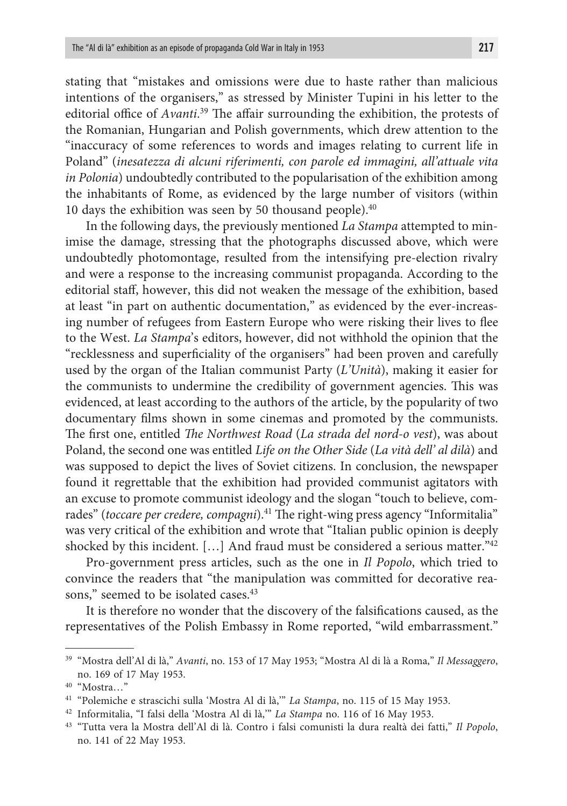stating that "mistakes and omissions were due to haste rather than malicious intentions of the organisers," as stressed by Minister Tupini in his letter to the editorial office of *Avanti*. 39 The affair surrounding the exhibition, the protests of the Romanian, Hungarian and Polish governments, which drew attention to the "inaccuracy of some references to words and images relating to current life in Poland" (*inesatezza di alcuni riferimenti, con parole ed immagini, all'attuale vita in Polonia*) undoubtedly contributed to the popularisation of the exhibition among the inhabitants of Rome, as evidenced by the large number of visitors (within 10 days the exhibition was seen by 50 thousand people). $40$ 

In the following days, the previously mentioned *La Stampa* attempted to minimise the damage, stressing that the photographs discussed above, which were undoubtedly photomontage, resulted from the intensifying pre-election rivalry and were a response to the increasing communist propaganda. According to the editorial staff, however, this did not weaken the message of the exhibition, based at least "in part on authentic documentation," as evidenced by the ever-increasing number of refugees from Eastern Europe who were risking their lives to flee to the West. *La Stampa*'s editors, however, did not withhold the opinion that the "recklessness and superficiality of the organisers" had been proven and carefully used by the organ of the Italian communist Party (*L'Unità*), making it easier for the communists to undermine the credibility of government agencies. This was evidenced, at least according to the authors of the article, by the popularity of two documentary films shown in some cinemas and promoted by the communists. The first one, entitled *The Northwest Road* (*La strada del nord-o vest*), was about Poland, the second one was entitled *Life on the Other Side* (*La vità dell' al dilà*) and was supposed to depict the lives of Soviet citizens. In conclusion, the newspaper found it regrettable that the exhibition had provided communist agitators with an excuse to promote communist ideology and the slogan "touch to believe, comrades" (*toccare per credere, compagni*).<sup>41</sup> The right-wing press agency "Informitalia" was very critical of the exhibition and wrote that "Italian public opinion is deeply shocked by this incident.  $[\ldots]$  And fraud must be considered a serious matter.<sup>"42</sup>

Pro-government press articles, such as the one in *Il Popolo*, which tried to convince the readers that "the manipulation was committed for decorative reasons," seemed to be isolated cases.<sup>43</sup>

It is therefore no wonder that the discovery of the falsifications caused, as the representatives of the Polish Embassy in Rome reported, "wild embarrassment."

<sup>39</sup> "Mostra dell'Al di là," *Avanti*, no. 153 of 17 May 1953; "Mostra Al di là a Roma," *Il Messaggero*, no. 169 of 17 May 1953.

<sup>40</sup> "Mostra…"

<sup>41</sup> "Polemiche e strascichi sulla 'Mostra Al di là,'" *La Stampa*, no. 115 of 15 May 1953.

<sup>42</sup> Informitalia, "I falsi della 'Mostra Al di là,'" *La Stampa* no. 116 of 16 May 1953.

<sup>43</sup> "Tutta vera la Mostra dell'Al di là. Contro i falsi comunisti la dura realtà dei fatti," *Il Popolo*, no. 141 of 22 May 1953.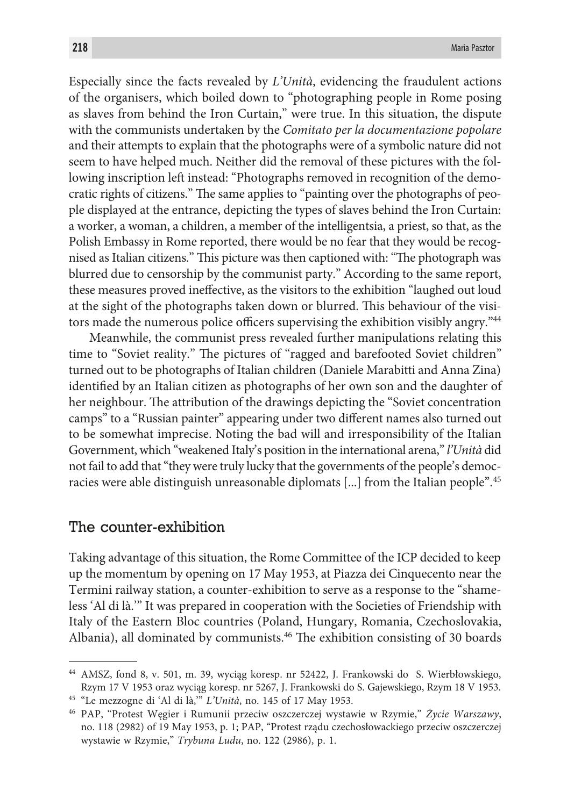Especially since the facts revealed by *L'Unità*, evidencing the fraudulent actions of the organisers, which boiled down to "photographing people in Rome posing as slaves from behind the Iron Curtain," were true. In this situation, the dispute with the communists undertaken by the *Comitato per la documentazione popolare* and their attempts to explain that the photographs were of a symbolic nature did not seem to have helped much. Neither did the removal of these pictures with the following inscription left instead: "Photographs removed in recognition of the democratic rights of citizens." The same applies to "painting over the photographs of people displayed at the entrance, depicting the types of slaves behind the Iron Curtain: a worker, a woman, a children, a member of the intelligentsia, a priest, so that, as the Polish Embassy in Rome reported, there would be no fear that they would be recognised as Italian citizens." This picture was then captioned with: "The photograph was blurred due to censorship by the communist party." According to the same report, these measures proved ineffective, as the visitors to the exhibition "laughed out loud at the sight of the photographs taken down or blurred. This behaviour of the visitors made the numerous police officers supervising the exhibition visibly angry."44

Meanwhile, the communist press revealed further manipulations relating this time to "Soviet reality." The pictures of "ragged and barefooted Soviet children" turned out to be photographs of Italian children (Daniele Marabitti and Anna Zina) identified by an Italian citizen as photographs of her own son and the daughter of her neighbour. The attribution of the drawings depicting the "Soviet concentration camps" to a "Russian painter" appearing under two different names also turned out to be somewhat imprecise. Noting the bad will and irresponsibility of the Italian Government, which "weakened Italy's position in the international arena," *l'Unità* did not fail to add that "they were truly lucky that the governments of the people's democracies were able distinguish unreasonable diplomats [...] from the Italian people".<sup>45</sup>

#### The counter-exhibition

Taking advantage of this situation, the Rome Committee of the ICP decided to keep up the momentum by opening on 17 May 1953, at Piazza dei Cinquecento near the Termini railway station, a counter-exhibition to serve as a response to the "shameless 'Al di là.'" It was prepared in cooperation with the Societies of Friendship with Italy of the Eastern Bloc countries (Poland, Hungary, Romania, Czechoslovakia, Albania), all dominated by communists.46 The exhibition consisting of 30 boards

<sup>44</sup> AMSZ, fond 8, v. 501, m. 39, wyciąg koresp. nr 52422, J. Frankowski do S. Wierbłowskiego, Rzym 17 V 1953 oraz wyciąg koresp. nr 5267, J. Frankowski do S. Gajewskiego, Rzym 18 V 1953. 45 "Le mezzogne di 'Al di là,'" *L'Unità*, no. 145 of 17 May 1953.

<sup>46</sup> PAP, "Protest Węgier i Rumunii przeciw oszczerczej wystawie w Rzymie," *Życie Warszawy*, no. 118 (2982) of 19 May 1953, p. 1; PAP, "Protest rządu czechosłowackiego przeciw oszczerczej wystawie w Rzymie," *Trybuna Ludu*, no. 122 (2986), p. 1.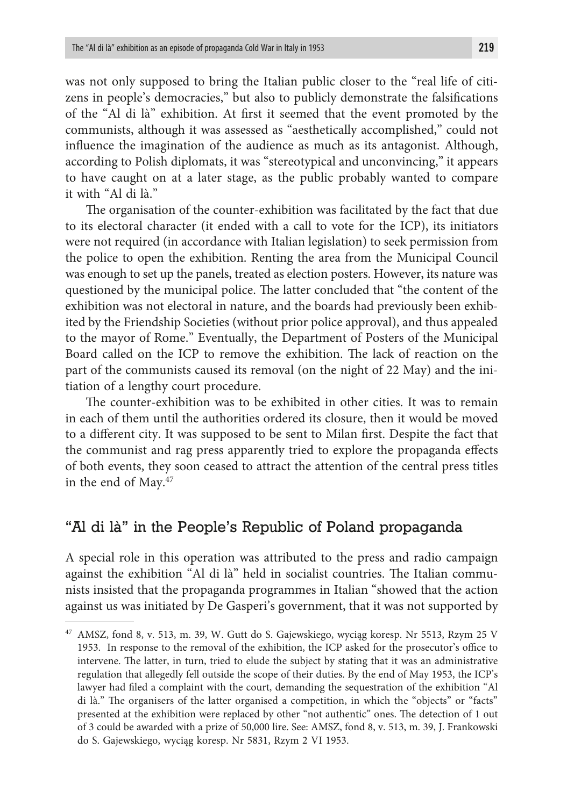was not only supposed to bring the Italian public closer to the "real life of citizens in people's democracies," but also to publicly demonstrate the falsifications of the "Al di là" exhibition. At first it seemed that the event promoted by the communists, although it was assessed as "aesthetically accomplished," could not influence the imagination of the audience as much as its antagonist. Although, according to Polish diplomats, it was "stereotypical and unconvincing," it appears to have caught on at a later stage, as the public probably wanted to compare it with "Al di là."

The organisation of the counter-exhibition was facilitated by the fact that due to its electoral character (it ended with a call to vote for the ICP), its initiators were not required (in accordance with Italian legislation) to seek permission from the police to open the exhibition. Renting the area from the Municipal Council was enough to set up the panels, treated as election posters. However, its nature was questioned by the municipal police. The latter concluded that "the content of the exhibition was not electoral in nature, and the boards had previously been exhibited by the Friendship Societies (without prior police approval), and thus appealed to the mayor of Rome." Eventually, the Department of Posters of the Municipal Board called on the ICP to remove the exhibition. The lack of reaction on the part of the communists caused its removal (on the night of 22 May) and the initiation of a lengthy court procedure.

The counter-exhibition was to be exhibited in other cities. It was to remain in each of them until the authorities ordered its closure, then it would be moved to a different city. It was supposed to be sent to Milan first. Despite the fact that the communist and rag press apparently tried to explore the propaganda effects of both events, they soon ceased to attract the attention of the central press titles in the end of May.47

## "Al di là" in the People's Republic of Poland propaganda

A special role in this operation was attributed to the press and radio campaign against the exhibition "Al di là" held in socialist countries. The Italian communists insisted that the propaganda programmes in Italian "showed that the action against us was initiated by De Gasperi's government, that it was not supported by

<sup>47</sup> AMSZ, fond 8, v. 513, m. 39, W. Gutt do S. Gajewskiego, wyciąg koresp. Nr 5513, Rzym 25 V 1953. In response to the removal of the exhibition, the ICP asked for the prosecutor's office to intervene. The latter, in turn, tried to elude the subject by stating that it was an administrative regulation that allegedly fell outside the scope of their duties. By the end of May 1953, the ICP's lawyer had filed a complaint with the court, demanding the sequestration of the exhibition "Al di là." The organisers of the latter organised a competition, in which the "objects" or "facts" presented at the exhibition were replaced by other "not authentic" ones. The detection of 1 out of 3 could be awarded with a prize of 50,000 lire. See: AMSZ, fond 8, v. 513, m. 39, J. Frankowski do S. Gajewskiego, wyciąg koresp. Nr 5831, Rzym 2 VI 1953.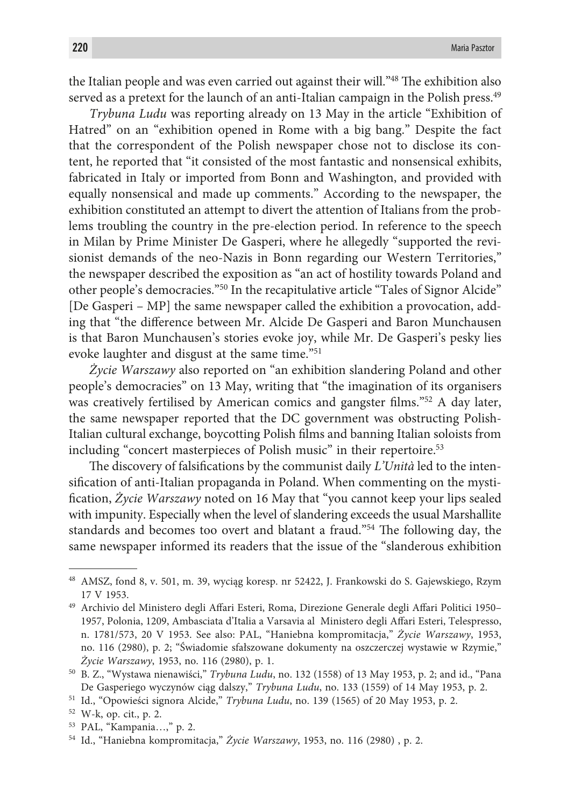the Italian people and was even carried out against their will."48 The exhibition also served as a pretext for the launch of an anti-Italian campaign in the Polish press.<sup>49</sup>

*Trybuna Ludu* was reporting already on 13 May in the article "Exhibition of Hatred" on an "exhibition opened in Rome with a big bang." Despite the fact that the correspondent of the Polish newspaper chose not to disclose its content, he reported that "it consisted of the most fantastic and nonsensical exhibits, fabricated in Italy or imported from Bonn and Washington, and provided with equally nonsensical and made up comments." According to the newspaper, the exhibition constituted an attempt to divert the attention of Italians from the problems troubling the country in the pre-election period. In reference to the speech in Milan by Prime Minister De Gasperi, where he allegedly "supported the revisionist demands of the neo-Nazis in Bonn regarding our Western Territories," the newspaper described the exposition as "an act of hostility towards Poland and other people's democracies."50 In the recapitulative article "Tales of Signor Alcide" [De Gasperi – MP] the same newspaper called the exhibition a provocation, adding that "the difference between Mr. Alcide De Gasperi and Baron Munchausen is that Baron Munchausen's stories evoke joy, while Mr. De Gasperi's pesky lies evoke laughter and disgust at the same time."51

*Życie Warszawy* also reported on "an exhibition slandering Poland and other people's democracies" on 13 May, writing that "the imagination of its organisers was creatively fertilised by American comics and gangster films."52 A day later, the same newspaper reported that the DC government was obstructing Polish-Italian cultural exchange, boycotting Polish films and banning Italian soloists from including "concert masterpieces of Polish music" in their repertoire.<sup>53</sup>

The discovery of falsifications by the communist daily *L'Unità* led to the intensification of anti-Italian propaganda in Poland. When commenting on the mystification, *Życie Warszawy* noted on 16 May that "you cannot keep your lips sealed with impunity. Especially when the level of slandering exceeds the usual Marshallite standards and becomes too overt and blatant a fraud."54 The following day, the same newspaper informed its readers that the issue of the "slanderous exhibition

<sup>48</sup> AMSZ, fond 8, v. 501, m. 39, wyciąg koresp. nr 52422, J. Frankowski do S. Gajewskiego, Rzym 17 V 1953.

<sup>49</sup> Archivio del Ministero degli Affari Esteri, Roma, Direzione Generale degli Affari Politici 1950– 1957, Polonia, 1209, Ambasciata d'Italia a Varsavia al Ministero degli Affari Esteri, Telespresso, n. 1781/573, 20 V 1953. See also: PAL, "Haniebna kompromitacja," *Życie Warszawy*, 1953, no. 116 (2980), p. 2; "Świadomie sfałszowane dokumenty na oszczerczej wystawie w Rzymie," *Życie Warszawy*, 1953, no. 116 (2980), p. 1.

<sup>50</sup> B. Z., "Wystawa nienawiści," *Trybuna Ludu*, no. 132 (1558) of 13 May 1953, p. 2; and id., "Pana De Gasperiego wyczynów ciąg dalszy," *Trybuna Ludu*, no. 133 (1559) of 14 May 1953, p. 2.

<sup>51</sup> Id., "Opowieści signora Alcide," *Trybuna Ludu*, no. 139 (1565) of 20 May 1953, p. 2.

<sup>52</sup> W-k, op. cit., p. 2.

<sup>53</sup> PAL, "Kampania…," p. 2.

<sup>54</sup> Id., "Haniebna kompromitacja," *Życie Warszawy*, 1953, no. 116 (2980) , p. 2.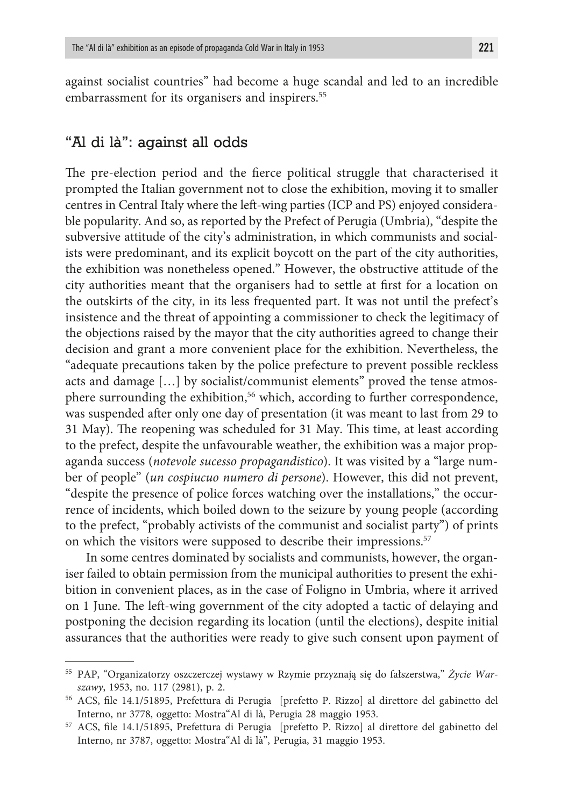against socialist countries" had become a huge scandal and led to an incredible embarrassment for its organisers and inspirers.<sup>55</sup>

## "Al di là": against all odds

The pre-election period and the fierce political struggle that characterised it prompted the Italian government not to close the exhibition, moving it to smaller centres in Central Italy where the left-wing parties (ICP and PS) enjoyed considerable popularity. And so, as reported by the Prefect of Perugia (Umbria), "despite the subversive attitude of the city's administration, in which communists and socialists were predominant, and its explicit boycott on the part of the city authorities, the exhibition was nonetheless opened." However, the obstructive attitude of the city authorities meant that the organisers had to settle at first for a location on the outskirts of the city, in its less frequented part. It was not until the prefect's insistence and the threat of appointing a commissioner to check the legitimacy of the objections raised by the mayor that the city authorities agreed to change their decision and grant a more convenient place for the exhibition. Nevertheless, the "adequate precautions taken by the police prefecture to prevent possible reckless acts and damage […] by socialist/communist elements" proved the tense atmosphere surrounding the exhibition,<sup>56</sup> which, according to further correspondence, was suspended after only one day of presentation (it was meant to last from 29 to 31 May). The reopening was scheduled for 31 May. This time, at least according to the prefect, despite the unfavourable weather, the exhibition was a major propaganda success (*notevole sucesso propagandistico*). It was visited by a "large number of people" (*un cospiucuo numero di persone*). However, this did not prevent, "despite the presence of police forces watching over the installations," the occurrence of incidents, which boiled down to the seizure by young people (according to the prefect, "probably activists of the communist and socialist party") of prints on which the visitors were supposed to describe their impressions.<sup>57</sup>

In some centres dominated by socialists and communists, however, the organiser failed to obtain permission from the municipal authorities to present the exhibition in convenient places, as in the case of Foligno in Umbria, where it arrived on 1 June. The left-wing government of the city adopted a tactic of delaying and postponing the decision regarding its location (until the elections), despite initial assurances that the authorities were ready to give such consent upon payment of

<sup>55</sup> PAP, "Organizatorzy oszczerczej wystawy w Rzymie przyznają się do fałszerstwa," *Życie Warszawy*, 1953, no. 117 (2981), p. 2.

<sup>56</sup> ACS, file 14.1/51895, Prefettura di Perugia [prefetto P. Rizzo] al direttore del gabinetto del Interno, nr 3778, oggetto: Mostra"Al di là, Perugia 28 maggio 1953.

<sup>57</sup> ACS, file 14.1/51895, Prefettura di Perugia [prefetto P. Rizzo] al direttore del gabinetto del Interno, nr 3787, oggetto: Mostra"Al di là", Perugia, 31 maggio 1953.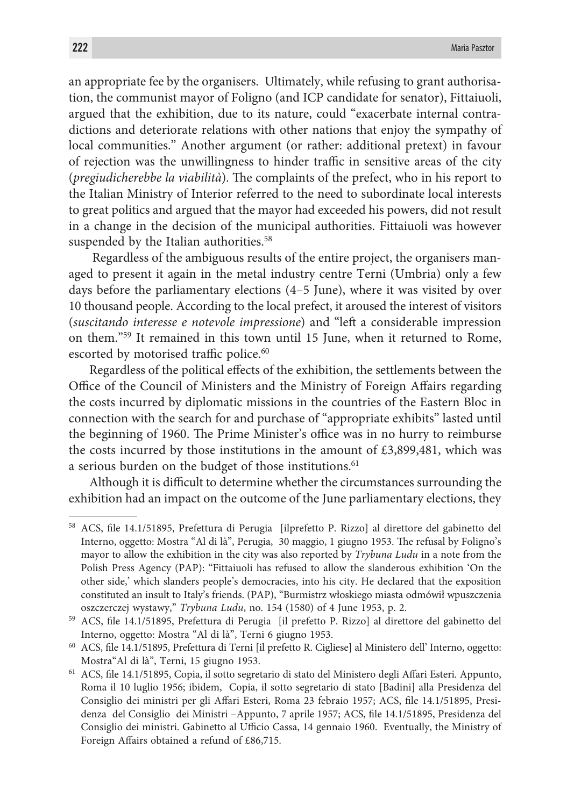an appropriate fee by the organisers. Ultimately, while refusing to grant authorisation, the communist mayor of Foligno (and ICP candidate for senator), Fittaiuoli, argued that the exhibition, due to its nature, could "exacerbate internal contradictions and deteriorate relations with other nations that enjoy the sympathy of local communities." Another argument (or rather: additional pretext) in favour of rejection was the unwillingness to hinder traffic in sensitive areas of the city (*pregiudicherebbe la viabilità*). The complaints of the prefect, who in his report to the Italian Ministry of Interior referred to the need to subordinate local interests to great politics and argued that the mayor had exceeded his powers, did not result in a change in the decision of the municipal authorities. Fittaiuoli was however suspended by the Italian authorities.<sup>58</sup>

 Regardless of the ambiguous results of the entire project, the organisers managed to present it again in the metal industry centre Terni (Umbria) only a few days before the parliamentary elections (4–5 June), where it was visited by over 10 thousand people. According to the local prefect, it aroused the interest of visitors (*suscitando interesse e notevole impressione*) and "left a considerable impression on them."59 It remained in this town until 15 June, when it returned to Rome, escorted by motorised traffic police.<sup>60</sup>

Regardless of the political effects of the exhibition, the settlements between the Office of the Council of Ministers and the Ministry of Foreign Affairs regarding the costs incurred by diplomatic missions in the countries of the Eastern Bloc in connection with the search for and purchase of "appropriate exhibits" lasted until the beginning of 1960. The Prime Minister's office was in no hurry to reimburse the costs incurred by those institutions in the amount of  $£3,899,481$ , which was a serious burden on the budget of those institutions.<sup>61</sup>

Although it is difficult to determine whether the circumstances surrounding the exhibition had an impact on the outcome of the June parliamentary elections, they

<sup>58</sup> ACS, file 14.1/51895, Prefettura di Perugia [ilprefetto P. Rizzo] al direttore del gabinetto del Interno, oggetto: Mostra "Al di là", Perugia, 30 maggio, 1 giugno 1953. The refusal by Foligno's mayor to allow the exhibition in the city was also reported by *Trybuna Ludu* in a note from the Polish Press Agency (PAP): "Fittaiuoli has refused to allow the slanderous exhibition 'On the other side,' which slanders people's democracies, into his city. He declared that the exposition constituted an insult to Italy's friends. (PAP), "Burmistrz włoskiego miasta odmówił wpuszczenia oszczerczej wystawy," *Trybuna Ludu*, no. 154 (1580) of 4 June 1953, p. 2.

<sup>59</sup> ACS, file 14.1/51895, Prefettura di Perugia [il prefetto P. Rizzo] al direttore del gabinetto del Interno, oggetto: Mostra "Al di là", Terni 6 giugno 1953.

<sup>60</sup> ACS, file 14.1/51895, Prefettura di Terni [il prefetto R. Cigliese] al Ministero dell' Interno, oggetto: Mostra"Al di là", Terni, 15 giugno 1953.

<sup>61</sup> ACS, file 14.1/51895, Copia, il sotto segretario di stato del Ministero degli Affari Esteri. Appunto, Roma il 10 luglio 1956; ibidem, Copia, il sotto segretario di stato [Badini] alla Presidenza del Consiglio dei ministri per gli Affari Esteri, Roma 23 febraio 1957; ACS, file 14.1/51895, Presidenza del Consiglio dei Ministri –Appunto, 7 aprile 1957; ACS, file 14.1/51895, Presidenza del Consiglio dei ministri. Gabinetto al Ufficio Cassa, 14 gennaio 1960. Eventually, the Ministry of Foreign Affairs obtained a refund of £86,715.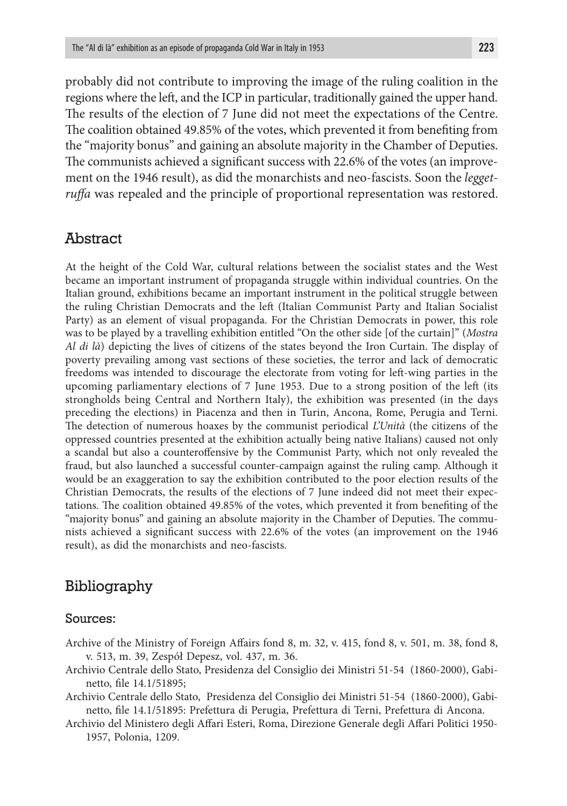probably did not contribute to improving the image of the ruling coalition in the regions where the left, and the ICP in particular, traditionally gained the upper hand. The results of the election of 7 June did not meet the expectations of the Centre. The coalition obtained 49.85% of the votes, which prevented it from benefiting from the "majority bonus" and gaining an absolute majority in the Chamber of Deputies. The communists achieved a significant success with 22.6% of the votes (an improvement on the 1946 result), as did the monarchists and neo-fascists. Soon the *leggetruffa* was repealed and the principle of proportional representation was restored.

#### Abstract

At the height of the Cold War, cultural relations between the socialist states and the West became an important instrument of propaganda struggle within individual countries. On the Italian ground, exhibitions became an important instrument in the political struggle between the ruling Christian Democrats and the left (Italian Communist Party and Italian Socialist Party) as an element of visual propaganda. For the Christian Democrats in power, this role was to be played by a travelling exhibition entitled "On the other side [of the curtain]" (*Mostra Al di là*) depicting the lives of citizens of the states beyond the Iron Curtain. The display of poverty prevailing among vast sections of these societies, the terror and lack of democratic freedoms was intended to discourage the electorate from voting for left-wing parties in the upcoming parliamentary elections of 7 June 1953. Due to a strong position of the left (its strongholds being Central and Northern Italy), the exhibition was presented (in the days preceding the elections) in Piacenza and then in Turin, Ancona, Rome, Perugia and Terni. The detection of numerous hoaxes by the communist periodical *L'Unità* (the citizens of the oppressed countries presented at the exhibition actually being native Italians) caused not only a scandal but also a counteroffensive by the Communist Party, which not only revealed the fraud, but also launched a successful counter-campaign against the ruling camp. Although it would be an exaggeration to say the exhibition contributed to the poor election results of the Christian Democrats, the results of the elections of 7 June indeed did not meet their expectations. The coalition obtained 49.85% of the votes, which prevented it from benefiting of the "majority bonus" and gaining an absolute majority in the Chamber of Deputies. The communists achieved a significant success with 22.6% of the votes (an improvement on the 1946 result), as did the monarchists and neo-fascists.

## Bibliography

#### Sources:

- Archive of the Ministry of Foreign Affairs fond 8, m. 32, v. 415, fond 8, v. 501, m. 38, fond 8, v. 513, m. 39, Zespół Depesz, vol. 437, m. 36.
- Archivio Centrale dello Stato, Presidenza del Consiglio dei Ministri 51-54 (1860-2000), Gabinetto, file 14.1/51895;
- Archivio Centrale dello Stato, Presidenza del Consiglio dei Ministri 51-54 (1860-2000), Gabinetto, file 14.1/51895: Prefettura di Perugia, Prefettura di Terni, Prefettura di Ancona.
- Archivio del Ministero degli Affari Esteri, Roma, Direzione Generale degli Affari Politici 1950- 1957, Polonia, 1209.